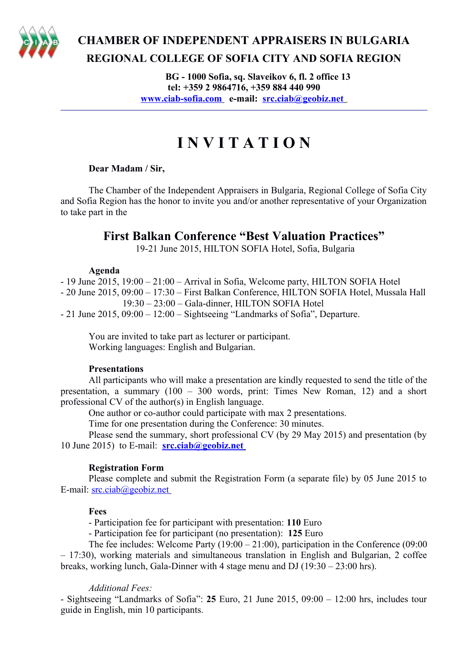

## **CHAMBER OF INDEPENDENT APPRAISERS IN BULGARIA REGIONAL COLLEGE OF SOFIA CITY AND SOFIA REGION**

**BG - 1000 Sofia, sq. Slaveikov 6, fl. 2 office 13 tel: +359 2 9864716, +359 884 440 990  [www.ciab-sofia.com](http://www.ciab-sofia.com/) e-mail: [src.ciab@geobiz.net](mailto:src.ciab@geobiz.net)** 

# **I N V I T A T I O N**

#### **Dear Madam / Sir,**

The Chamber of the Independent Appraisers in Bulgaria, Regional College of Sofia City and Sofia Region has the honor to invite you and/or another representative of your Organization to take part in the

### **First Balkan Conference "Best Valuation Practices"**

19-21 June 2015, HILTON SOFIA Hotel, Sofia, Bulgaria

#### **Agenda**

- 19 June 2015, 19:00 – 21:00 – Arrival in Sofia, Welcome party, HILTON SOFIA Hotel

- 20 June 2015, 09:00 – 17:30 – First Balkan Conference, HILTON SOFIA Hotel, Mussala Hall 19:30 – 23:00 – Gala-dinner, HILTON SOFIA Hotel

- 21 June 2015, 09:00 – 12:00 – Sightseeing "Landmarks of Sofia", Departure.

You are invited to take part as lecturer or participant. Working languages: English and Bulgarian.

#### **Presentations**

All participants who will make a presentation are kindly requested to send the title of the presentation, a summary (100 – 300 words, print: Times New Roman, 12) and a short professional CV of the author(s) in English language.

One author or co-author could participate with max 2 presentations.

Time for one presentation during the Conference: 30 minutes.

Please send the summary, short professional CV (by 29 May 2015) and presentation (by 10 June 2015) to E-mail: **[src.ciab@geobiz.net](mailto:src.ciab@geobiz.net)**

#### **Registration Form**

Please complete and submit the Registration Form (a separate file) by 05 June 2015 to E-mail: [src.ciab@geobiz.net](mailto:src.ciab@geobiz.net)

#### **Fees**

- Participation fee for participant with presentation: **110** Euro

- Participation fee for participant (no presentation): **125** Euro

The fee includes: Welcome Party (19:00 – 21:00), participation in the Conference (09:00 – 17:30), working materials and simultaneous translation in English and Bulgarian, 2 coffee breaks, working lunch, Gala-Dinner with 4 stage menu and DJ (19:30 – 23:00 hrs).

#### *Additional Fees:*

- Sightseeing "Landmarks of Sofia": **25** Euro, 21 June 2015, 09:00 – 12:00 hrs, includes tour guide in English, min 10 participants.